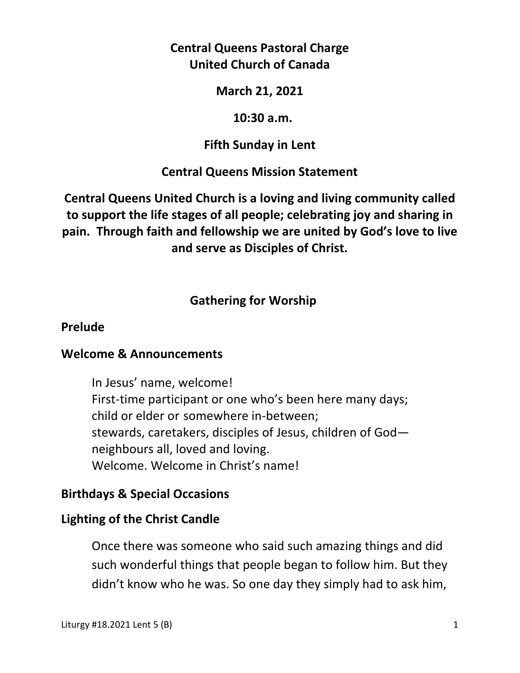## **Central Queens Pastoral Charge United Church of Canada**

## **March 21, 2021**

## **10:30 a.m.**

## **Fifth Sunday in Lent**

## **Central Queens Mission Statement**

**Central Queens United Church is a loving and living community called to support the life stages of all people; celebrating joy and sharing in pain. Through faith and fellowship we are united by God's love to live and serve as Disciples of Christ.**

## **Gathering for Worship**

## **Prelude**

#### **Welcome & Announcements**

In Jesus' name, welcome! First-time participant or one who's been here many days; child or elder or somewhere in-between; stewards, caretakers, disciples of Jesus, children of God neighbours all, loved and loving. Welcome. Welcome in Christ's name!

## **Birthdays & Special Occasions**

## **Lighting of the Christ Candle**

Once there was someone who said such amazing things and did such wonderful things that people began to follow him. But they didn't know who he was. So one day they simply had to ask him,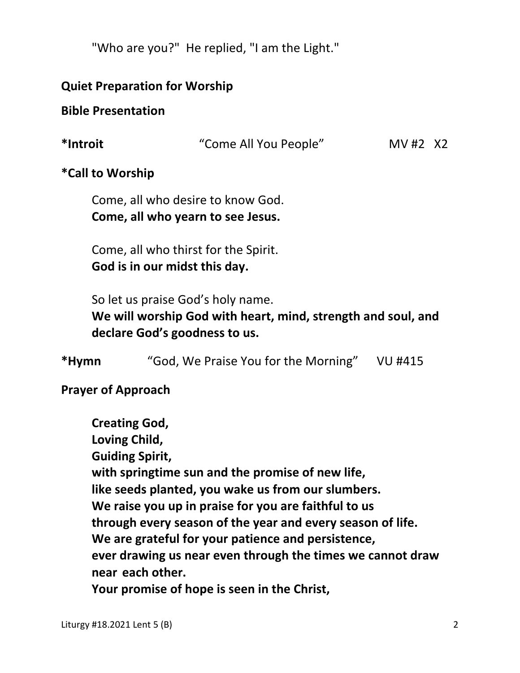"Who are you?" He replied, "I am the Light."

## **Quiet Preparation for Worship**

## **Bible Presentation**

| *Introit | "Come All You People" | MV #2 X2 |
|----------|-----------------------|----------|
|          |                       |          |

## **\*Call to Worship**

 Come, all who desire to know God.  **Come, all who yearn to see Jesus.** 

 Come, all who thirst for the Spirit.  **God is in our midst this day.** 

So let us praise God's holy name.

 **We will worship God with heart, mind, strength and soul, and declare God's goodness to us.** 

**\*Hymn** "God, We Praise You for the Morning" VU #415

## **Prayer of Approach**

 **Creating God, Loving Child, Guiding Spirit, with springtime sun and the promise of new life, like seeds planted, you wake us from our slumbers. We raise you up in praise for you are faithful to us through every season of the year and every season of life. We are grateful for your patience and persistence, ever drawing us near even through the times we cannot draw near each other. Your promise of hope is seen in the Christ,**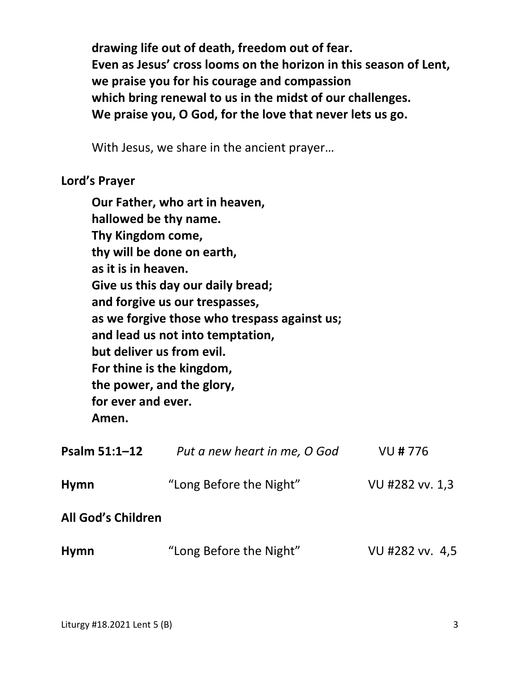**drawing life out of death, freedom out of fear. Even as Jesus' cross looms on the horizon in this season of Lent, we praise you for his courage and compassion which bring renewal to us in the midst of our challenges. We praise you, O God, for the love that never lets us go.** 

With Jesus, we share in the ancient prayer…

## **Lord's Prayer**

**Our Father, who art in heaven, hallowed be thy name. Thy Kingdom come, thy will be done on earth, as it is in heaven. Give us this day our daily bread; and forgive us our trespasses, as we forgive those who trespass against us; and lead us not into temptation, but deliver us from evil. For thine is the kingdom, the power, and the glory, for ever and ever. Amen.** 

| Psalm 51:1-12             | Put a new heart in me, O God | VU # 776        |
|---------------------------|------------------------------|-----------------|
| <b>Hymn</b>               | "Long Before the Night"      | VU #282 vv. 1,3 |
| <b>All God's Children</b> |                              |                 |
| <b>Hymn</b>               | "Long Before the Night"      | VU #282 vv. 4,5 |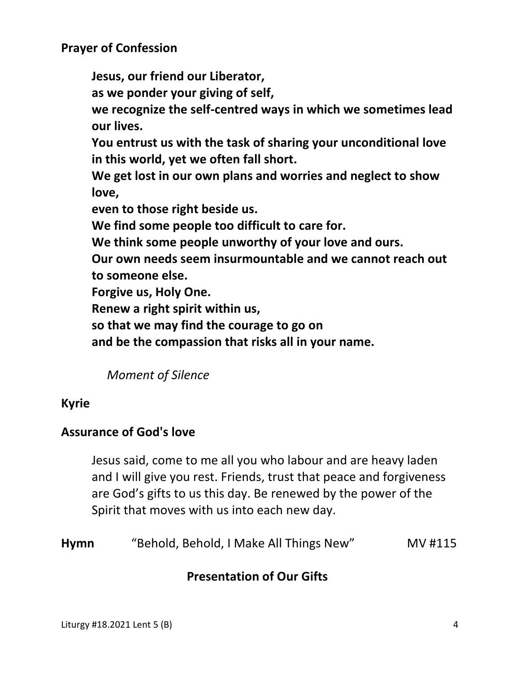## **Prayer of Confession**

**Jesus, our friend our Liberator, as we ponder your giving of self, we recognize the self-centred ways in which we sometimes lead our lives. You entrust us with the task of sharing your unconditional love in this world, yet we often fall short. We get lost in our own plans and worries and neglect to show love, even to those right beside us. We find some people too difficult to care for. We think some people unworthy of your love and ours. Our own needs seem insurmountable and we cannot reach out to someone else. Forgive us, Holy One. Renew a right spirit within us, so that we may find the courage to go on and be the compassion that risks all in your name.** 

## *Moment of Silence*

## **Kyrie**

## **Assurance of God's love**

Jesus said, come to me all you who labour and are heavy laden and I will give you rest. Friends, trust that peace and forgiveness are God's gifts to us this day. Be renewed by the power of the Spirit that moves with us into each new day.

**Hymn** "Behold, Behold, I Make All Things New" MV #115

## **Presentation of Our Gifts**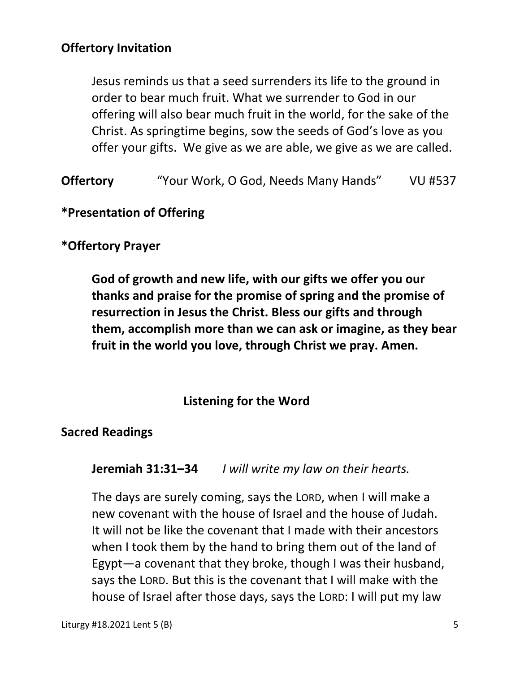## **Offertory Invitation**

Jesus reminds us that a seed surrenders its life to the ground in order to bear much fruit. What we surrender to God in our offering will also bear much fruit in the world, for the sake of the Christ. As springtime begins, sow the seeds of God's love as you offer your gifts. We give as we are able, we give as we are called.

**Offertory** "Your Work, O God, Needs Many Hands" VU #537

## **\*Presentation of Offering**

## **\*Offertory Prayer**

 **God of growth and new life, with our gifts we offer you our thanks and praise for the promise of spring and the promise of resurrection in Jesus the Christ. Bless our gifts and through them, accomplish more than we can ask or imagine, as they bear fruit in the world you love, through Christ we pray. Amen.** 

#### **Listening for the Word**

#### **Sacred Readings**

## **Jeremiah 31:31–34** *I will write my law on their hearts.*

 The days are surely coming, says the LORD, when I will make a new covenant with the house of Israel and the house of Judah. It will not be like the covenant that I made with their ancestors when I took them by the hand to bring them out of the land of Egypt—a covenant that they broke, though I was their husband, says the LORD. But this is the covenant that I will make with the house of Israel after those days, says the LORD: I will put my law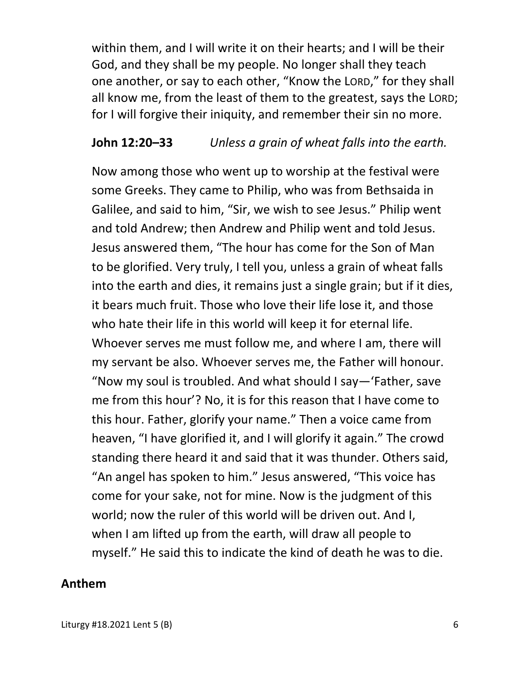within them, and I will write it on their hearts; and I will be their God, and they shall be my people. No longer shall they teach one another, or say to each other, "Know the LORD," for they shall all know me, from the least of them to the greatest, says the LORD; for I will forgive their iniquity, and remember their sin no more.

## **John 12:20–33** *Unless a grain of wheat falls into the earth.*

Now among those who went up to worship at the festival were some Greeks. They came to Philip, who was from Bethsaida in Galilee, and said to him, "Sir, we wish to see Jesus." Philip went and told Andrew; then Andrew and Philip went and told Jesus. Jesus answered them, "The hour has come for the Son of Man to be glorified. Very truly, I tell you, unless a grain of wheat falls into the earth and dies, it remains just a single grain; but if it dies, it bears much fruit. Those who love their life lose it, and those who hate their life in this world will keep it for eternal life. Whoever serves me must follow me, and where I am, there will my servant be also. Whoever serves me, the Father will honour. "Now my soul is troubled. And what should I say—'Father, save me from this hour'? No, it is for this reason that I have come to this hour. Father, glorify your name." Then a voice came from heaven, "I have glorified it, and I will glorify it again." The crowd standing there heard it and said that it was thunder. Others said, "An angel has spoken to him." Jesus answered, "This voice has come for your sake, not for mine. Now is the judgment of this world; now the ruler of this world will be driven out. And I, when I am lifted up from the earth, will draw all people to myself." He said this to indicate the kind of death he was to die.

#### **Anthem**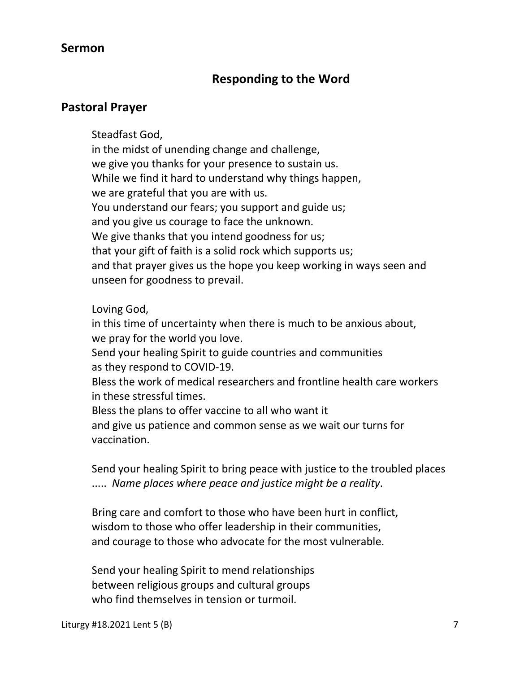## **Sermon**

## **Responding to the Word**

#### **Pastoral Prayer**

 Steadfast God, in the midst of unending change and challenge, we give you thanks for your presence to sustain us. While we find it hard to understand why things happen, we are grateful that you are with us. You understand our fears; you support and guide us; and you give us courage to face the unknown. We give thanks that you intend goodness for us; that your gift of faith is a solid rock which supports us; and that prayer gives us the hope you keep working in ways seen and unseen for goodness to prevail.

#### Loving God,

 in this time of uncertainty when there is much to be anxious about, we pray for the world you love.

 Send your healing Spirit to guide countries and communities as they respond to COVID-19.

 Bless the work of medical researchers and frontline health care workers in these stressful times.

Bless the plans to offer vaccine to all who want it

 and give us patience and common sense as we wait our turns for vaccination.

 Send your healing Spirit to bring peace with justice to the troubled places ..... *Name places where peace and justice might be a reality*.

 Bring care and comfort to those who have been hurt in conflict, wisdom to those who offer leadership in their communities, and courage to those who advocate for the most vulnerable.

 Send your healing Spirit to mend relationships between religious groups and cultural groups who find themselves in tension or turmoil.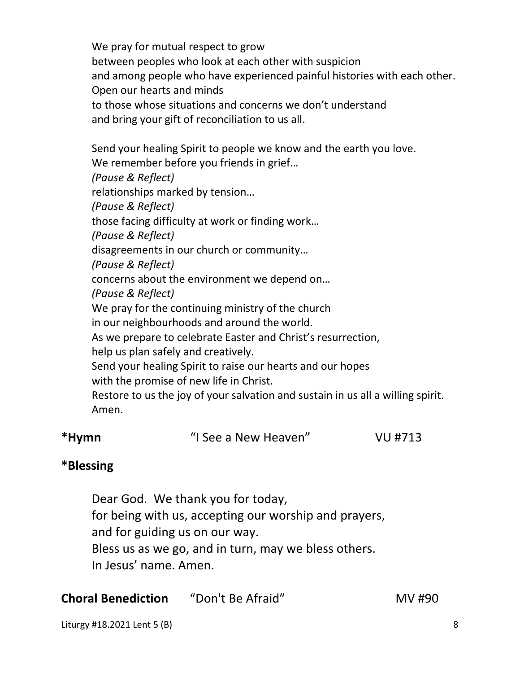We pray for mutual respect to grow between peoples who look at each other with suspicion and among people who have experienced painful histories with each other. Open our hearts and minds to those whose situations and concerns we don't understand and bring your gift of reconciliation to us all.

 Send your healing Spirit to people we know and the earth you love. We remember before you friends in grief…  *(Pause & Reflect)*  relationships marked by tension…  *(Pause & Reflect)*  those facing difficulty at work or finding work…  *(Pause & Reflect)*  disagreements in our church or community…  *(Pause & Reflect)*  concerns about the environment we depend on…  *(Pause & Reflect)*  We pray for the continuing ministry of the church in our neighbourhoods and around the world. As we prepare to celebrate Easter and Christ's resurrection, help us plan safely and creatively. Send your healing Spirit to raise our hearts and our hopes with the promise of new life in Christ. Restore to us the joy of your salvation and sustain in us all a willing spirit. Amen.

**\*Hymn** "I See a New Heaven" VU #713

# **\*Blessing**

Dear God. We thank you for today, for being with us, accepting our worship and prayers, and for guiding us on our way. Bless us as we go, and in turn, may we bless others. In Jesus' name. Amen.

**Choral Benediction** "Don't Be Afraid" MV #90